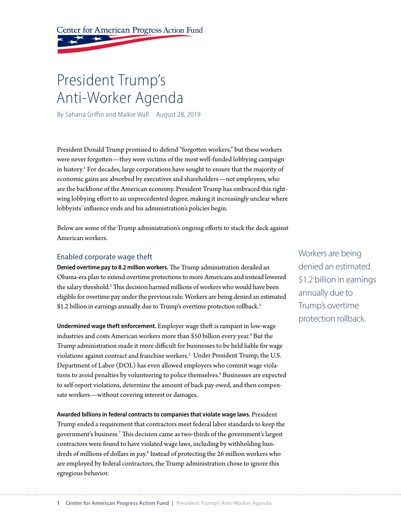Center for American Progress Action Fund

# President Trump's Anti-Worker Agenda

By Saharra Griffin and Malkie Wall August 28, 2019

President Donald Trump promised to defend "forgotten workers," but these workers were never forgotten—they were victims of the most well-funded lobbying campaign in history.<sup>1</sup> For decades, large corporations have sought to ensure that the majority of economic gains are absorbed by executives and shareholders—not employees, who are the backbone of the American economy. President Trump has embraced this rightwing lobbying effort to an unprecedented degree, making it increasingly unclear where lobbyists' influence ends and his administration's policies begin.

Below are some of the Trump administration's ongoing efforts to stack the deck against American workers.

### Enabled corporate wage theft

**Denied overtime pay to 8.2 million workers.** The Trump administration derailed an Obama-era plan to extend overtime protections to more Americans and instead lowered the salary threshold.2 This decision harmed millions of workers who would have been eligible for overtime pay under the previous rule. Workers are being denied an estimated \$1.2 billion in earnings annually due to Trump's overtime protection rollback.<sup>3</sup>

**Undermined wage theft enforcement.** Employer wage theft is rampant in low-wage industries and costs American workers more than \$50 billion every year.<sup>4</sup> But the Trump administration made it more difficult for businesses to be held liable for wage violations against contract and franchise workers.<sup>5</sup> Under President Trump, the U.S. Department of Labor (DOL) has even allowed employers who commit wage violations to avoid penalties by volunteering to police themselves.<sup>6</sup> Businesses are expected to self-report violations, determine the amount of back pay owed, and then compensate workers—without covering interest or damages.

**Awarded billions in federal contracts to companies that violate wage laws.** President Trump ended a requirement that contractors meet federal labor standards to keep the government's business.7 This decision came as two-thirds of the government's largest contractors were found to have violated wage laws, including by withholding hundreds of millions of dollars in pay.<sup>8</sup> Instead of protecting the 26 million workers who are employed by federal contractors, the Trump administration chose to ignore this egregious behavior.

Workers are being denied an estimated \$1.2 billion in earnings annually due to Trump's overtime protection rollback.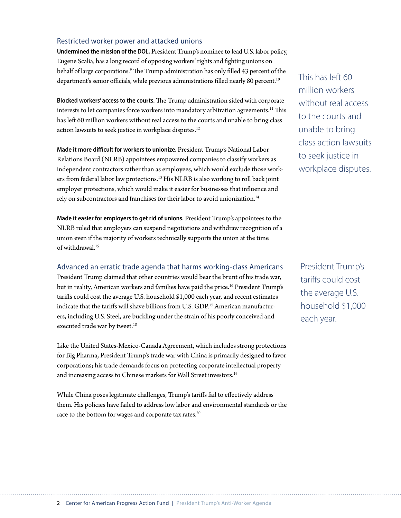# Restricted worker power and attacked unions

**Undermined the mission of the DOL.** President Trump's nominee to lead U.S. labor policy, Eugene Scalia, has a long record of opposing workers' rights and fighting unions on behalf of large corporations.9 The Trump administration has only filled 43 percent of the department's senior officials, while previous administrations filled nearly 80 percent.<sup>10</sup>

**Blocked workers' access to the courts.** The Trump administration sided with corporate interests to let companies force workers into mandatory arbitration agreements.<sup>11</sup> This has left 60 million workers without real access to the courts and unable to bring class action lawsuits to seek justice in workplace disputes.<sup>12</sup>

**Made it more difficult for workers to unionize.** President Trump's National Labor Relations Board (NLRB) appointees empowered companies to classify workers as independent contractors rather than as employees, which would exclude those workers from federal labor law protections.13 His NLRB is also working to roll back joint employer protections, which would make it easier for businesses that influence and rely on subcontractors and franchises for their labor to avoid unionization. 14

**Made it easier for employers to get rid of unions.** President Trump's appointees to the NLRB ruled that employers can suspend negotiations and withdraw recognition of a union even if the majority of workers technically supports the union at the time of withdrawal.15

Advanced an erratic trade agenda that harms working-class Americans

President Trump claimed that other countries would bear the brunt of his trade war, but in reality, American workers and families have paid the price.<sup>16</sup> President Trump's tariffs could cost the average U.S. household \$1,000 each year, and recent estimates indicate that the tariffs will shave billions from U.S. GDP.<sup>17</sup> American manufacturers, including U.S. Steel, are buckling under the strain of his poorly conceived and executed trade war by tweet.<sup>18</sup>

Like the United States-Mexico-Canada Agreement, which includes strong protections for Big Pharma, President Trump's trade war with China is primarily designed to favor corporations; his trade demands focus on protecting corporate intellectual property and increasing access to Chinese markets for Wall Street investors.<sup>19</sup>

While China poses legitimate challenges, Trump's tariffs fail to effectively address them. His policies have failed to address low labor and environmental standards or the race to the bottom for wages and corporate tax rates.<sup>20</sup>

This has left 60 million workers without real access to the courts and unable to bring class action lawsuits to seek justice in workplace disputes.

President Trump's tariffs could cost the average U.S. household \$1,000 each year.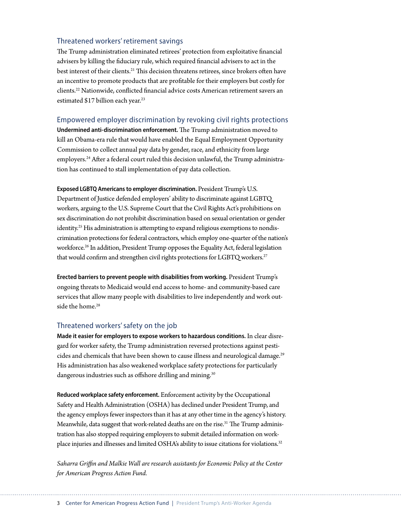#### Threatened workers' retirement savings

The Trump administration eliminated retirees' protection from exploitative financial advisers by killing the fiduciary rule, which required financial advisers to act in the best interest of their clients.<sup>21</sup> This decision threatens retirees, since brokers often have an incentive to promote products that are profitable for their employers but costly for clients.22 Nationwide, conflicted financial advice costs American retirement savers an estimated \$17 billion each year.<sup>23</sup>

#### Empowered employer discrimination by revoking civil rights protections

**Undermined anti-discrimination enforcement.** The Trump administration moved to [kill](https://www.reuters.com/article/us-trump-paydata/white-house-blocks-obama-era-rule-expanding-pay-data-from-companies-idUSKCN1BA21Y) an Obama-era rule that would have enabled the Equal Employment Opportunity Commission to collect annual pay data by gender, race, and ethnicity from large employers.24 After a federal court ruled this decision unlawful, the Trump administration has continued to stall implementation of pay data collection.

**Exposed LGBTQ Americans to employer discrimination.** President Trump's U.S. Department of Justice defended employers' ability to discriminate against LGBTQ workers, arguing to the U.S. Supreme Court that the Civil Rights Act's prohibitions on sex discrimination do not prohibit discrimination based on sexual orientation or gender identity.<sup>25</sup> His administration is attempting to expand religious exemptions to nondiscrimination protections for federal contractors, which employ one-quarter of the nation's workforce.<sup>26</sup> In addition, President Trump opposes the Equality Act, federal legislation that would confirm and strengthen civil rights protections for LGBTQ workers.<sup>27</sup>

**Erected barriers to prevent people with disabilities from working.** President Trump's ongoing threats to Medicaid would end access to home- and community-based care services that allow many people with disabilities to live independently and work outside the home.<sup>28</sup>

### Threatened workers' safety on the job

**Made it easier for employers to expose workers to hazardous conditions.** In clear disregard for worker safety, the Trump administration reversed protections against pesticides and chemicals that have been shown to cause illness and neurological damage.<sup>29</sup> His administration has also weakened workplace safety protections for particularly dangerous industries such as offshore drilling and mining.<sup>30</sup>

**Reduced workplace safety enforcement.** Enforcement activity by the Occupational Safety and Health Administration (OSHA) has declined under President Trump, and the agency employs fewer inspectors than it has at any other time in the agency's history. Meanwhile, data suggest that work-related deaths are on the rise.<sup>31</sup> The Trump administration has also stopped requiring employers to submit detailed information on workplace injuries and illnesses and limited OSHA's ability to issue citations for violations.32

*Saharra Griffin and Malkie Wall are research assistants for Economic Policy at the Center for American Progress Action Fund.*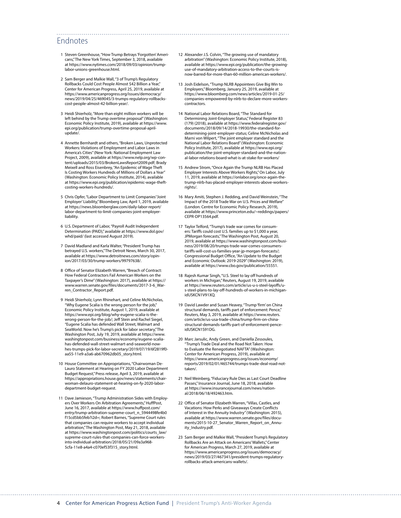# Endnotes

- 1 Steven Greenhouse, "How Trump Betrays 'Forgotten' Americans," The New York Times, September 3, 2018, available at [https://www.nytimes.com/2018/09/03/opinion/trump](https://www.nytimes.com/2018/09/03/opinion/trump-labor-unions-greenhouse.html)[labor-unions-greenhouse.html.](https://www.nytimes.com/2018/09/03/opinion/trump-labor-unions-greenhouse.html)
- 2 Sam Berger and Malkie Wall, "3 of Trump's Regulatory Rollbacks Could Cost People Almost \$42 Billion a Year," Center for American Progress, April 25, 2019, available at [https://www.americanprogress.org/issues/democracy/](https://www.americanprogress.org/issues/democracy/news/2019/04/25/469045/3-trumps-regulatory-rollbacks-cost-people-almost-42-billion-year/) [news/2019/04/25/469045/3-trumps-regulatory-rollbacks](https://www.americanprogress.org/issues/democracy/news/2019/04/25/469045/3-trumps-regulatory-rollbacks-cost-people-almost-42-billion-year/)[cost-people-almost-42-billion-year/](https://www.americanprogress.org/issues/democracy/news/2019/04/25/469045/3-trumps-regulatory-rollbacks-cost-people-almost-42-billion-year/).
- 3 Heidi Shierholz, "More than eight million workers will be left behind by the Trump overtime proposal" (Washington: Economic Policy Institute, 2019), available at [https://www.](https://www.epi.org/publication/trump-overtime-proposal-april-update/) [epi.org/publication/trump-overtime-proposal-april](https://www.epi.org/publication/trump-overtime-proposal-april-update/)[update/.](https://www.epi.org/publication/trump-overtime-proposal-april-update/)
- 4 Annette Bernhardt and others, "Broken Laws, Unprotected Workers: Violations of Employment and Labor Laws in America's Cities" (New York: National Employment Law Project, 2009), available at [https://www.nelp.org/wp-con](https://www.nelp.org/wp-content/uploads/2015/03/BrokenLawsReport2009.pdf)[tent/uploads/2015/03/BrokenLawsReport2009.pdf;](https://www.nelp.org/wp-content/uploads/2015/03/BrokenLawsReport2009.pdf) Brady Meixell and Ross Eisenbrey, "An Epidemic of Wage Theft Is Costing Workers Hundreds of Millions of Dollars a Year" (Washington: Economic Policy Institute, 2014), available at [https://www.epi.org/publication/epidemic-wage-theft](https://www.epi.org/publication/epidemic-wage-theft-costing-workers-hundreds/)[costing-workers-hundreds/.](https://www.epi.org/publication/epidemic-wage-theft-costing-workers-hundreds/)
- 5 Chris Opfer, "Labor Department to Limit Companies' 'Joint Employer' Liability," Bloomberg Law, April 1, 2019, available at [https://news.bloomberglaw.com/daily-labor-report/](https://news.bloomberglaw.com/daily-labor-report/labor-department-to-limit-companies-joint-employer-liability) [labor-department-to-limit-companies-joint-employer](https://news.bloomberglaw.com/daily-labor-report/labor-department-to-limit-companies-joint-employer-liability)[liability](https://news.bloomberglaw.com/daily-labor-report/labor-department-to-limit-companies-joint-employer-liability).
- 6 U.S. Department of Labor, "Payroll Audit Independent Determination (PAID)," available at [https://www.dol.gov/](https://www.dol.gov/whd/paid/) [whd/paid/](https://www.dol.gov/whd/paid/) (last accessed August 2019).
- 7 David Madland and Karla Walter, "President Trump has betrayed U.S. workers," The Detroit News, March 30, 2017, available at [https://www.detroitnews.com/story/opin](https://www.detroitnews.com/story/opinion/2017/03/30/trump-workers/99797638/)[ion/2017/03/30/trump-workers/99797638/.](https://www.detroitnews.com/story/opinion/2017/03/30/trump-workers/99797638/)
- 8 Office of Senator Elizabeth Warren, "Breach of Contract: How Federal Contractors Fail American Workers on the Taxpayer's Dime" (Washington: 2017), available at [https://](https://www.warren.senate.gov/files/documents/2017-3-6_Warren_Contractor_Report.pdf) [www.warren.senate.gov/files/documents/2017-3-6\\_War](https://www.warren.senate.gov/files/documents/2017-3-6_Warren_Contractor_Report.pdf)[ren\\_Contractor\\_Report.pdf](https://www.warren.senate.gov/files/documents/2017-3-6_Warren_Contractor_Report.pdf).
- 9 Heidi Shierholz, Lynn Rhinehart, and Celine McNicholas, "Why Eugene Scalia is the wrong person for the job," Economic Policy Institute, August 1, 2019, available at [https://www.epi.org/blog/why-eugene-scalia-is-the-](https://www.epi.org/blog/why-eugene-scalia-is-the-wrong-person-for-the-job/)[wrong-person-for-the-job/](https://www.epi.org/blog/why-eugene-scalia-is-the-wrong-person-for-the-job/); Jeff Stein and Rachel Siegel, "Eugene Scalia has defended Wall Street, Walmart and SeaWorld. Now he's Trump's pick for labor secretary," The Washington Post, July 19, 2019, available at [https://www.](https://www.washingtonpost.com/business/economy/eugene-scalia-has-defended-wall-street-walmart-and-seaworld-now-hes-trumps-pick-for-labor-secretary/2019/07/19/6f2819f0-aa55-11e9-a3a6-ab670962db05_story.html) [washingtonpost.com/business/economy/eugene-scalia](https://www.washingtonpost.com/business/economy/eugene-scalia-has-defended-wall-street-walmart-and-seaworld-now-hes-trumps-pick-for-labor-secretary/2019/07/19/6f2819f0-aa55-11e9-a3a6-ab670962db05_story.html)[has-defended-wall-street-walmart-and-seaworld-now](https://www.washingtonpost.com/business/economy/eugene-scalia-has-defended-wall-street-walmart-and-seaworld-now-hes-trumps-pick-for-labor-secretary/2019/07/19/6f2819f0-aa55-11e9-a3a6-ab670962db05_story.html)[hes-trumps-pick-for-labor-secretary/2019/07/19/6f2819f0](https://www.washingtonpost.com/business/economy/eugene-scalia-has-defended-wall-street-walmart-and-seaworld-now-hes-trumps-pick-for-labor-secretary/2019/07/19/6f2819f0-aa55-11e9-a3a6-ab670962db05_story.html) [aa55-11e9-a3a6-ab670962db05\\_story.html.](https://www.washingtonpost.com/business/economy/eugene-scalia-has-defended-wall-street-walmart-and-seaworld-now-hes-trumps-pick-for-labor-secretary/2019/07/19/6f2819f0-aa55-11e9-a3a6-ab670962db05_story.html)
- 10 House Committee on Appropriations, "Chairwoman De-Lauro Statement at Hearing on FY 2020 Labor Department Budget Request," Press release, April 3, 2019, available at [https://appropriations.house.gov/news/statements/chair](https://appropriations.house.gov/news/statements/chairwoman-delauro-statement-at-hearing-on-fy-2020-labor-department-budget-request)[woman-delauro-statement-at-hearing-on-fy-2020-labor](https://appropriations.house.gov/news/statements/chairwoman-delauro-statement-at-hearing-on-fy-2020-labor-department-budget-request)[department-budget-request](https://appropriations.house.gov/news/statements/chairwoman-delauro-statement-at-hearing-on-fy-2020-labor-department-budget-request).
- 11 Dave Jamieson, "Trump Administration Sides with Employers Over Workers On Arbitration Agreements," HuffPost, June 16, 2017, available at [https://www.huffpost.com/](https://www.huffpost.com/entry/trump-arbitration-supreme-court_n_5944498fe4b0f15cd5bb5feb?i2d=) [entry/trump-arbitration-supreme-court\\_n\\_5944498fe4b0](https://www.huffpost.com/entry/trump-arbitration-supreme-court_n_5944498fe4b0f15cd5bb5feb?i2d=) [f15cd5bb5feb?i2d=](https://www.huffpost.com/entry/trump-arbitration-supreme-court_n_5944498fe4b0f15cd5bb5feb?i2d=); Robert Barnes, "Supreme Court rules that companies can require workers to accept individual arbitration," The Washington Post, May 21, 2018, available at [https://www.washingtonpost.com/politics/courts\\_law/](https://www.washingtonpost.com/politics/courts_law/supreme-court-rules-that-companies-can-force-workers-into-individual-arbitration/2018/05/21/09a3a968-5cfa-11e8-a4a4-c070ef53f315_story.html) [supreme-court-rules-that-companies-can-force-workers](https://www.washingtonpost.com/politics/courts_law/supreme-court-rules-that-companies-can-force-workers-into-individual-arbitration/2018/05/21/09a3a968-5cfa-11e8-a4a4-c070ef53f315_story.html)[into-individual-arbitration/2018/05/21/09a3a968-](https://www.washingtonpost.com/politics/courts_law/supreme-court-rules-that-companies-can-force-workers-into-individual-arbitration/2018/05/21/09a3a968-5cfa-11e8-a4a4-c070ef53f315_story.html) [5cfa-11e8-a4a4-c070ef53f315\\_story.html.](https://www.washingtonpost.com/politics/courts_law/supreme-court-rules-that-companies-can-force-workers-into-individual-arbitration/2018/05/21/09a3a968-5cfa-11e8-a4a4-c070ef53f315_story.html)

12 Alexander J.S. Colvin, "The growing use of mandatory arbitration" (Washington: Economic Policy Institute, 2018), available at [https://www.epi.org/publication/the-growing](https://www.epi.org/publication/the-growing-use-of-mandatory-arbitration-access-to-the-courts-is-now-barred-for-more-than-60-million-american-workers/)[use-of-mandatory-arbitration-access-to-the-courts-is](https://www.epi.org/publication/the-growing-use-of-mandatory-arbitration-access-to-the-courts-is-now-barred-for-more-than-60-million-american-workers/)[now-barred-for-more-than-60-million-american-workers/](https://www.epi.org/publication/the-growing-use-of-mandatory-arbitration-access-to-the-courts-is-now-barred-for-more-than-60-million-american-workers/).

- 13 Josh Eidelson, "Trump NLRB Appointees Give Big Win to Employers," Bloomberg, January 25, 2019, available at [https://www.bloomberg.com/news/articles/2019-01-25/](https://www.bloomberg.com/news/articles/2019-01-25/companies-empowered-by-nlrb-to-declare-more-workers-contractors) [companies-empowered-by-nlrb-to-declare-more-workers](https://www.bloomberg.com/news/articles/2019-01-25/companies-empowered-by-nlrb-to-declare-more-workers-contractors)[contractors.](https://www.bloomberg.com/news/articles/2019-01-25/companies-empowered-by-nlrb-to-declare-more-workers-contractors)
- 14 National Labor Relations Board, "The Standard for Determining Joint-Employer Status," Federal Register 83 (179) (2018), available at [https://www.federalregister.gov/](https://www.federalregister.gov/documents/2018/09/14/2018-19930/the-standard-for-determining-joint-employer-status) [documents/2018/09/14/2018-19930/the-standard-for](https://www.federalregister.gov/documents/2018/09/14/2018-19930/the-standard-for-determining-joint-employer-status)[determining-joint-employer-status](https://www.federalregister.gov/documents/2018/09/14/2018-19930/the-standard-for-determining-joint-employer-status); Celine McNicholas and Marni von Wilpert, "The joint employer standard and the National Labor Relations Board" (Washington: Economic Policy Institute, 2017), available at [https://www.epi.org/](https://www.epi.org/publication/the-joint-employer-standard-and-the-national-labor-relations-board-what-is-at-stake-for-workers/) [publication/the-joint-employer-standard-and-the-nation](https://www.epi.org/publication/the-joint-employer-standard-and-the-national-labor-relations-board-what-is-at-stake-for-workers/)[al-labor-relations-board-what-is-at-stake-for-workers/](https://www.epi.org/publication/the-joint-employer-standard-and-the-national-labor-relations-board-what-is-at-stake-for-workers/)
- 15 Andrew Strom, "Once Again the Trump NLRB Has Placed Employer Interests Above Workers Rights," On Labor, July 11, 2019, available at [https://onlabor.org/once-again-the](https://onlabor.org/once-again-the-trump-nlrb-has-placed-employer-interests-above-workers-rights/)[trump-nlrb-has-placed-employer-interests-above-workers](https://onlabor.org/once-again-the-trump-nlrb-has-placed-employer-interests-above-workers-rights/)[rights/.](https://onlabor.org/once-again-the-trump-nlrb-has-placed-employer-interests-above-workers-rights/)
- 16 Mary Amiti, Stephen J. Redding, and David Weinstein, "The Impact of the 2018 Trade War on U.S. Prices and Welfare" (London: Centre for Economic Policy Research, 2019), available at [https://www.princeton.edu/~reddings/papers/](https://www.princeton.edu/~reddings/papers/CEPR-DP13564.pdf) [CEPR-DP13564.pdf.](https://www.princeton.edu/~reddings/papers/CEPR-DP13564.pdf)
- 17 Taylor Telford, "Trump's trade war comes for consumers: Tariffs could cost U.S. families up to \$1,000 a year, JPMorgan forecasts," The Washington Post, August 20, 2019, available at [https://www.washingtonpost.com/busi](https://www.washingtonpost.com/business/2019/08/20/trumps-trade-war-comes-consumers-tariffs-will-cost-us-families-year-jp-morgan-forecasts/)[ness/2019/08/20/trumps-trade-war-comes-consumers](https://www.washingtonpost.com/business/2019/08/20/trumps-trade-war-comes-consumers-tariffs-will-cost-us-families-year-jp-morgan-forecasts/)[tariffs-will-cost-us-families-year-jp-morgan-forecasts/](https://www.washingtonpost.com/business/2019/08/20/trumps-trade-war-comes-consumers-tariffs-will-cost-us-families-year-jp-morgan-forecasts/); Congressional Budget Office, "An Update to the Budget and Economic Outlook: 2019-2029" (Washington: 2019), available at<https://www.cbo.gov/publication/55551>.
- 18 Rajesh Kumar Singh, "U.S. Steel to lay off hundreds of workers in Michigan," Reuters, August 19, 2019, available at [https://www.reuters.com/article/us-u-s-steel-layoffs/u](https://www.reuters.com/article/us-u-s-steel-layoffs/u-s-steel-plans-to-lay-off-hundreds-of-workers-in-michigan-idUSKCN1V91XQ)[s-steel-plans-to-lay-off-hundreds-of-workers-in-michigan](https://www.reuters.com/article/us-u-s-steel-layoffs/u-s-steel-plans-to-lay-off-hundreds-of-workers-in-michigan-idUSKCN1V91XQ)[idUSKCN1V91XQ](https://www.reuters.com/article/us-u-s-steel-layoffs/u-s-steel-plans-to-lay-off-hundreds-of-workers-in-michigan-idUSKCN1V91XQ).
- 19 David Lawder and Susan Heavey, "Trump 'firm' on China structural demands, tariffs part of enforcement: Pence," Reuters, May 3, 2019, available at [https://www.reuters.](https://www.reuters.com/article/us-usa-trade-china/trump-firm-on-china-structural-demands-tariffs-part-of-enforcement-pence-idUSKCN1S91DG) [com/article/us-usa-trade-china/trump-firm-on-china](https://www.reuters.com/article/us-usa-trade-china/trump-firm-on-china-structural-demands-tariffs-part-of-enforcement-pence-idUSKCN1S91DG)[structural-demands-tariffs-part-of-enforcement-pence](https://www.reuters.com/article/us-usa-trade-china/trump-firm-on-china-structural-demands-tariffs-part-of-enforcement-pence-idUSKCN1S91DG)[idUSKCN1S91DG.](https://www.reuters.com/article/us-usa-trade-china/trump-firm-on-china-structural-demands-tariffs-part-of-enforcement-pence-idUSKCN1S91DG)
- 20 [Marc Jarsulic](https://www.americanprogress.org/about/staff/jarsulic-marc/bio/), [Andy Green](https://www.americanprogress.org/about/staff/green-andy/bio/), and [Daniella Zessoules,](https://www.americanprogress.org/about/staff/zessoules-daniella/bio/) "Trump's Trade Deal and the Road Not Taken: How to Evaluate the Renegotiated NAFTA" (Washington: Center for American Progress, 2019), available at [https://www.americanprogress.org/issues/economy/](https://www.americanprogress.org/issues/economy/reports/2019/02/01/465744/trumps-trade-deal-road-not-taken/) [reports/2019/02/01/465744/trumps-trade-deal-road-not](https://www.americanprogress.org/issues/economy/reports/2019/02/01/465744/trumps-trade-deal-road-not-taken/)[taken/](https://www.americanprogress.org/issues/economy/reports/2019/02/01/465744/trumps-trade-deal-road-not-taken/).
- 21 Neil Weinberg, "Fiduciary Rule Dies as Last Court Deadline Passes," Insurance Journal, June 18, 2018, available at [https://www.insurancejournal.com/news/nation](https://www.insurancejournal.com/news/national/2018/06/18/492463.htm)[al/2018/06/18/492463.htm.](https://www.insurancejournal.com/news/national/2018/06/18/492463.htm)
- 22 Office of Senator Elizabeth Warren, "Villas, Castles, and Vacations: How Perks and Giveaways Create Conflicts of Interest in the Annuity Industry" (Washington: 2015), available at [https://www.warren.senate.gov/files/docu](https://www.warren.senate.gov/files/documents/2015-10-27_Senator_Warren_Report_on_Annuity_Industry.pdf)[ments/2015-10-27\\_Senator\\_Warren\\_Report\\_on\\_Annu](https://www.warren.senate.gov/files/documents/2015-10-27_Senator_Warren_Report_on_Annuity_Industry.pdf)[ity\\_Industry.pdf.](https://www.warren.senate.gov/files/documents/2015-10-27_Senator_Warren_Report_on_Annuity_Industry.pdf)
- 23 Sam Berger and Malkie Wall, "President Trump's Regulatory Rollbacks Are an Attack on Americans' Wallets," Center for American Progress, March 27, 2019, available at [https://www.americanprogress.org/issues/democracy/](https://www.americanprogress.org/issues/democracy/news/2019/03/27/467341/president-trumps-regulatory-rollbacks-attack-americans-wallets/) [news/2019/03/27/467341/president-trumps-regulatory](https://www.americanprogress.org/issues/democracy/news/2019/03/27/467341/president-trumps-regulatory-rollbacks-attack-americans-wallets/)[rollbacks-attack-americans-wallets/](https://www.americanprogress.org/issues/democracy/news/2019/03/27/467341/president-trumps-regulatory-rollbacks-attack-americans-wallets/).